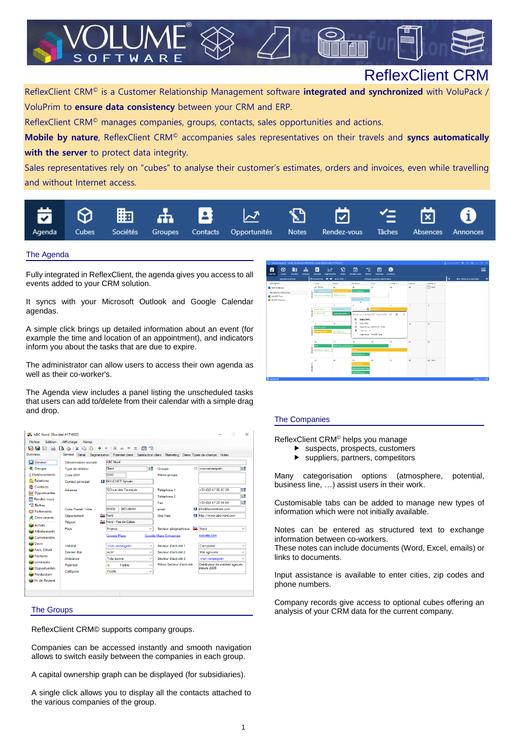# ReflexClient CRM

ReflexClient CRM© is a Customer Relationship Management software **integrated and synchronized** with VoluPack / VoluPrim to **ensure data consistency** between your CRM and ERP.

ReflexClient CRM© manages companies, groups, contacts, sales opportunities and actions.

**Mobile by nature**, ReflexClient CRM© accompanies sales representatives on their travels and **syncs automatically with the server** to protect data integrity.

Sales representatives rely on "cubes" to analyse their customer's estimates, orders and invoices, even while travelling and without Internet access.



#### The Agenda

Fully integrated in ReflexClient, the agenda gives you access to all events added to your CRM solution.

T W A

 $\mathsf R$ 

It syncs with your Microsoft Outlook and Google Calendar agendas.

A simple click brings up detailed information about an event (for example the time and location of an appointment), and indicators inform you about the tasks that are due to expire.

The administrator can allow users to access their own agenda as well as their co-worker's.

The Agenda view includes a panel listing the unscheduled tasks that users can add to/delete from their calendar with a simple drag and drop.

| ABC Nord [Société #171002] |                           |                                                                                        |                         | $\times$                          |
|----------------------------|---------------------------|----------------------------------------------------------------------------------------|-------------------------|-----------------------------------|
|                            |                           |                                                                                        |                         |                                   |
| Fichier<br><b>Edition</b>  | Affichage<br><b>Notes</b> |                                                                                        |                         |                                   |
| Gа<br>е                    | ۱è                        | ♦   秦 秦 * *   茵 乍                                                                      |                         |                                   |
| Données                    | Général<br>Détail         | Segmentation Potentiel client Satisfaction client Marketing Démo Types de champs Notes |                         |                                   |
| Général                    | Dénomination sociale      | <b>ABC Nord</b>                                                                        |                         |                                   |
| <b>B</b> Groupe            | Type de relation          | 귫<br>Client                                                                            | E1<br>Groupe            | 댫<br><non renseigné=""></non>     |
| rd Etablissements          | Code FRP                  | 3313                                                                                   | Mémo groupe             |                                   |
| <b>A</b> Relations         | <b>Contact principal</b>  | <b>BOUCHET Sylvain</b><br>и                                                            |                         |                                   |
| <b>Contacts</b>            | Adresse                   | 123 rue des Tanneurs                                                                   | Téléphone 1             | 댫<br>+33 (0)2 47 66 47 20         |
| Opportunités               |                           |                                                                                        | Téléphone 2             | БĈ                                |
| Rendez-vous                |                           |                                                                                        | Fax                     | 댫<br>+33 (0) 2 47 20 54 04        |
| $\leq$ Tâches              | Code Postal / Ville       | <b>ROUBAIX</b><br>59100                                                                | email                   | M info@somewhere.com              |
| Partenaires                |                           |                                                                                        |                         |                                   |
| Concurrents                | Département               | $\frac{1}{\sqrt{2}}$ Nord                                                              | Site Web                | http://www.abc-nord.com           |
| Achats                     | Région                    | Nord - Pas de Calais                                                                   |                         |                                   |
| <b>Affrètements</b>        | Pays                      | France<br>$\checkmark$                                                                 | Secteur géographique    | $\frac{1}{2}$ Nord                |
| Commandes                  |                           | Google Maps                                                                            | Google Maps Entreprise  | societe.com                       |
| Devis                      | Validité                  | <non renseigné=""><br/><math>\checkmark</math></non>                                   | Secteur d'activité 1    | Carrossier                        |
| Fact, Détail               | Dernier état              | Actif<br>$\checkmark$                                                                  | Secteur d'activité 2    | Mat agricole                      |
| Factures                   | Ambiance                  | Très bonne<br>$\checkmark$                                                             | Secteur d'activité 3    | <non renseigné=""></non>          |
| Livraisons                 | Potentiel                 | Faible<br>÷                                                                            | Mémo Secteur d'activité | Distributeur de matériel agricole |
| Opportunités               |                           | $\checkmark$<br>Fictifs                                                                |                         | depuis 2005                       |
| Production                 | Catégorie                 | $\checkmark$                                                                           |                         |                                   |
| <b>M</b> Px de Revient     |                           |                                                                                        |                         |                                   |
|                            |                           |                                                                                        |                         |                                   |
|                            |                           |                                                                                        |                         |                                   |
|                            |                           |                                                                                        |                         |                                   |

ReflexClient CRM© supports company groups.

Companies can be accessed instantly and smooth navigation allows to switch easily between the companies in each group.

A capital ownership graph can be displayed (for subsidiaries).

A single click allows you to display all the contacts attached to the various companies of the group.



# The Companies

ReflexClient CRM© helps you manage

- suspects, prospects, customers
- suppliers, partners, competitors

Many categorisation options (atmosphere, potential, business line, …) assist users in their work.

Customisable tabs can be added to manage new types of information which were not initially available.

Notes can be entered as structured text to exchange information between co-workers.

These notes can include documents (Word, Excel, emails) or links to documents.

Input assistance is available to enter cities, zip codes and phone numbers.

Company records give access to optional cubes offering an The Groups analysis of your CRM data for the current company.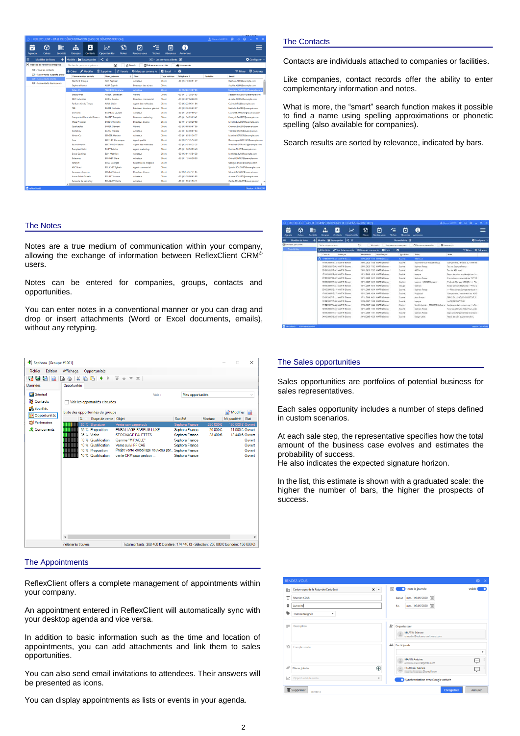| $2$ (tienne MARTIN $\bigcircled{0}$ $\bigcirc$ $\bigcirc$ $\bigcirc$ $\bigcirc$ $\bigcirc$ |          |                       |                                            |                                                          | REFLEXCLIENT - BASE DE DÉMONSTRATION IBASE DE DÉMONSTRATIONI |                               |                            |               |                                    |             |
|--------------------------------------------------------------------------------------------|----------|-----------------------|--------------------------------------------|----------------------------------------------------------|--------------------------------------------------------------|-------------------------------|----------------------------|---------------|------------------------------------|-------------|
|                                                                                            |          | A<br><b>Annonces</b>  | $\overline{\mathbf{x}}$<br><b>Absences</b> | ′≘<br>⊓<br>Rendez-vous<br>Tāches                         | ۲J<br>∼<br>Opportunités<br><b>Notes</b>                      | в<br>Contacts                 | 4<br><b>Groupes</b>        | 嗣<br>Sociétés | ِ⊗<br>Cubes                        | ₹<br>Agenda |
| <b>D</b> Configurer                                                                        |          |                       | 300 - Les contacts clients [2]             |                                                          | ≺☆                                                           |                               | Modèle : Sauvegarder       | $+1$          | Modèles de listes                  |             |
|                                                                                            |          | * Nouveautés          |                                            | <b><i>O Récemment consultés</i></b><br><b>To Favoris</b> | $\odot$                                                      | Recherche par nom et prénom   |                            |               | A) Modèles de référence entreprise |             |
| <b>ED</b> Colonnes<br>$\equiv$ Filtres                                                     |          |                       | <b>EliExcel</b> ∨ <b>→</b>                 | O Marquer comme lu                                       | <b>B</b> Supprimer<br><b>A</b> Favoris                       | Modifier                      | $+$ Créer                  |               | 100 - Tous les contacts            |             |
| Email                                                                                      | Portable | Téléphone 1           | <b>Type relation</b>                       | + Titre                                                  | Nom prénom                                                   | <b>Dénomination sociale</b>   |                            |               | 200 - Les contacts suspects, prosp |             |
| Raphael.ALIX@example.com                                                                   |          | +33 (0)3 18 88 51 37  | Client                                     | Acheteur                                                 | <b>ALIX Rephael</b>                                          |                               | <b>Stanford Groupe</b>     |               | 300 - Les contacts clients         |             |
| Scohie.ALLIA@example.com                                                                   |          |                       | Client                                     | Directeur des achats                                     | <b>ALLIA Sophie</b>                                          |                               | Sephora France             |               | 400 - Les contacts fournisseurs    |             |
| Stéphane.ANDRIEU@example.com                                                               |          | +33 (0)2 83 10 07 06  | Client                                     | Acheteur                                                 | <b>ANDREU Stéphane</b>                                       |                               | Talion SA                  |               |                                    |             |
| Sebastien.AUBERT@example.com                                                               |          | +33 (0) 1 21 28 54 83 | Client                                     | Gécant                                                   | <b>AURERT Sebastien</b>                                      |                               | Flection-Mat               |               |                                    |             |
| Aurelie AUBIN@example.com                                                                  |          | +33 (0)3 07 04 60 39  | Client                                     | Directeur commercial                                     | <b>AURIN Aurelie</b>                                         |                               | <b>RRO Industries</b>      |               |                                    |             |
| Claire AVRIL @example.com                                                                  |          | +33 (0)3 22 96 41 84  | Client                                     | Agent des méthodes                                       | <b>AVRIL Claire</b>                                          |                               | Parfums Air du Temps       |               |                                    |             |
| Nathalie.BARBE@example.com                                                                 |          | +33 (0)3 36 26 63 27  |                                            | Président directeur général Client                       | <b>BARBE Nathalie</b>                                        |                               | <b>TER</b>                 |               |                                    |             |
| Laurent.BARREAU@example.com                                                                |          | +33 (0) 1 26 97 69 27 | Client                                     | Acheteur                                                 | <b>BARREAU Laurent</b>                                       |                               | Domesto                    |               |                                    |             |
| François.BARRET@example.com                                                                |          | +33 (0)1 34 29 05 42  | Client                                     | Directeur marketing                                      | <b>BARRET Francois</b>                                       | Comptoir d'Électricité Franco |                            |               |                                    |             |
| Mireille.BAUDET@example.com                                                                |          | +33 (0) 1 34 30 29 98 | Client                                     | Directeur d'usine                                        | <b>BAUDET Mireille</b>                                       |                               | <b>Meca Precision</b>      |               |                                    |             |
| Clément.BAUER@example.com                                                                  |          | +33 (0)3 88 65 67 96  | Client                                     | Gérant                                                   | <b>BAUER Clément</b>                                         |                               | Qualicables                |               |                                    |             |
| Thérèse.BAZIN@example.com                                                                  |          | +33 (0)1 04 09 87 64  | Client                                     | Acheteur                                                 | <b>BAZIN Thérèse</b>                                         |                               | <b>Delta Box</b>           |               |                                    |             |
| Martine.BERGER@example.com                                                                 |          | +33 (0)1 85 81 36 77  | Client                                     | Acheteur                                                 | <b>BERGER Martine</b>                                        |                               | Kimex-Co.                  |               |                                    |             |
| Dominique BERTHET@example.com                                                              |          | +33 (0)3 17 75 14 39  | <b>Client</b>                              | Agent qualité                                            | <b>RERTHET Dominique</b>                                     |                               | Teve                       |               |                                    |             |
| Victoire.BERTRAND@example.com                                                              |          | +33 (0)2 45 88 25 25  | Client                                     | Agent des méthodes                                       | <b>BERTRAND Victoire</b>                                     |                               | <b>Baune Imprim</b>        |               |                                    |             |
| Fabrice.BINET@example.com                                                                  |          | +33 (0) 1 96 36 29 46 | Client                                     | Agent marketing                                          | <b>BINET Fabrice</b>                                         |                               | Dampiert Vallon            |               |                                    |             |
| Mathilde BLIN@example.com                                                                  |          | +33 (0)3 91 15 54 38  | Client                                     | Acheteur                                                 | <b>BLIN Mathilde</b>                                         |                               | <b>Duval Coatings</b>      |               |                                    |             |
| Claire.BONNET@example.com                                                                  |          | +33 (0) 1 13 46 50 90 | Client                                     | Acheteur                                                 | <b>BONNET Claire</b>                                         |                               | Delaunav                   |               |                                    |             |
| Georges BOSC@example.com                                                                   |          |                       | Client                                     | Responsable magasin                                      | <b>BOSC Georges</b>                                          |                               | Katalyst                   |               |                                    |             |
| Sylvain.BOUCHET@example.com                                                                |          |                       | Client                                     | Agent commercial                                         | <b>BOUCHET Sylvain</b>                                       |                               | <b>ABC Nord</b>            |               |                                    |             |
| Gérard.BOULAY@example.com                                                                  |          | +33 (0)2 72 37 41 05  | Client                                     | Directeur d'usine                                        | <b>BOULAY Gérard</b>                                         |                               | Carosserie Express         |               |                                    |             |
| Aurore.BOULET@example.com                                                                  |          | +33 (0)3 30 90 63 95  | Client                                     | Acheteur                                                 | <b>BOULET Aurore</b>                                         |                               | <b>Isover Saint-Gobain</b> |               |                                    |             |
| Cecile.BOUQUET@example.com                                                                 |          | +33 (0) 1 93 21 56 11 | Client                                     | Acheteur                                                 | <b>BOUQUET Cecile</b>                                        |                               | Caisserie de Varinfroy     |               |                                    |             |

#### The Notes

Notes are a true medium of communication within your company, allowing the exchange of information between ReflexClient CRM© users.

Notes can be entered for companies, groups, contacts and opportunities.

You can enter notes in a conventional manner or you can drag and drop or insert attachments (Word or Excel documents, emails), without any retyping.

| Sephora [Groupe#1001] |                    |             |                                                                                                        |                                                                                      |                                                                                            |                                                                                        |                      | $\Box$                               | $\times$                                                                   |
|-----------------------|--------------------|-------------|--------------------------------------------------------------------------------------------------------|--------------------------------------------------------------------------------------|--------------------------------------------------------------------------------------------|----------------------------------------------------------------------------------------|----------------------|--------------------------------------|----------------------------------------------------------------------------|
| Edition<br>Fichier    | Affichage          |             | Opportunités                                                                                           |                                                                                      |                                                                                            |                                                                                        |                      |                                      |                                                                            |
| Gee                   | $\circ$ $\circ$    |             | $\blacksquare$ 4                                                                                       | $+ 7 + 7 + 1$                                                                        |                                                                                            |                                                                                        |                      |                                      |                                                                            |
| Données               | Opportunités       |             |                                                                                                        |                                                                                      |                                                                                            |                                                                                        |                      |                                      |                                                                            |
| Général               |                    |             |                                                                                                        |                                                                                      | Voir:                                                                                      | Mes opportunités                                                                       |                      |                                      | $\checkmark$                                                               |
| <b>Contacts</b>       |                    |             | Voir les opportunités cloturées                                                                        |                                                                                      |                                                                                            |                                                                                        |                      |                                      |                                                                            |
| <b>DE</b> Sociétés    |                    |             |                                                                                                        |                                                                                      |                                                                                            |                                                                                        |                      |                                      |                                                                            |
| Opportunités          |                    | ℁           | Liste des opportunités du groupe<br>Etape de vente   Objet                                             |                                                                                      |                                                                                            | Société                                                                                | <b>Montant</b>       | $\Rightarrow$ Modifier<br>Mt pondéré | B<br>Etat                                                                  |
| Partenaires           |                    |             | 60 % Signature                                                                                         | Vente campagne pub                                                                   |                                                                                            | Sephora France                                                                         | 250 000€             |                                      | 150 000 € Ouvert                                                           |
| <b>K</b> Concurrents  |                    | 35 % Visite | 55 % Proposition<br>10 % Qualification<br>10 % Qualification<br>10 % Proposition<br>10 % Qualification | STOCKAGE PALETTES<br>Gamme "MIRACLE"<br>Vente suivi PF CAB<br>vente CRM pour gestion | <b>EMBALLAGE PARFUM LUXE</b><br>Projet vente emballage nouveau par Sephora France          | Sephora France<br>Sephora France<br>Sephora France<br>Sephora France<br>Sephora France | 20 000 €<br>38 400 € |                                      | 11 000 € Ouvert<br>13 440 € Ouvert<br>Ouvert<br>Ouvert<br>Ouvert<br>Ouvert |
|                       | $\epsilon$         |             |                                                                                                        |                                                                                      |                                                                                            |                                                                                        |                      |                                      | $\rightarrow$                                                              |
|                       | 7 éléments trouvés |             |                                                                                                        |                                                                                      | Total montants: 308 400 € (pondéré: 174 440 €) - Sélection: 250 000 € (pondéré: 150 000 €) |                                                                                        |                      |                                      |                                                                            |

#### The Appointments

ReflexClient offers a complete management of appointments within your company.

An appointment entered in ReflexClient will automatically sync with your desktop agenda and vice versa.

In addition to basic information such as the time and location of appointments, you can add attachments and link them to sales opportunities.

You can also send email invitations to attendees. Their answers will be presented as icons.

You can display appointments as lists or events in your agenda.

#### The Contacts

Contacts are individuals attached to companies or facilities.

Like companies, contact records offer the ability to enter complementary information and notes.

What is more, the "smart" search function makes it possible to find a name using spelling approximations or phonetic spelling (also available for companies).

Search results are sorted by relevance, indicated by bars.

|                        |                    |               |                        |                                 | REFLEXCUENT - BASE DE DÉMONSTRATION BIASE DE DÉMONSTRATION CUBES |                           |                                  |                         |                      |                                     | <b>三 meme MARTH ※ 12 ● 二 6 ×</b>       |
|------------------------|--------------------|---------------|------------------------|---------------------------------|------------------------------------------------------------------|---------------------------|----------------------------------|-------------------------|----------------------|-------------------------------------|----------------------------------------|
| ⊽<br>Agenda            | ଢ<br>Cubes         | 嗣<br>Sociétée | 4<br>Groupes           | Е<br>Contacts                   | ∞<br><b>Opportunités</b>                                         | <b>D</b><br>Notes         | ⇨<br>Rendez-your                 | ∕≘<br>Täches            | ☞<br><b>Almences</b> | A<br>Annonces                       | ≡                                      |
| Ξ                      | Modifies de listes | $\ddot{}$     | Modèle: El Sauvegarder |                                 | ∣< ∻                                                             |                           |                                  |                         | Nouvelle liste DC    |                                     | <b>D</b> Configurer                    |
| (A) Modèles personnels |                    |               | Recherche per note     |                                 |                                                                  | $\odot$                   | Mes notes                        | Les notes me concernant |                      | @ Recentment consultés              | * Nouveautés                           |
| Nouvelle liste         |                    |               | <b>D</b> Voir Note     | e vor Fiche associée            |                                                                  | <b>O</b> Marquer comme hi | <b>GI Excel</b>                  | ٠<br>×                  |                      |                                     | <b>ED</b> Colonnes<br>$T$ Ferm         |
|                        |                    |               | Créée le               | Créée par                       |                                                                  | Modifiée le               | Modifiée par                     |                         | Type Fiche           | Fiche                               | Note                                   |
|                        |                    |               | m                      | 10/04/2007 16:53 MARTIN Exerne  |                                                                  |                           | 22/04/2020 11:45 MARTIN Exerce   |                         | Société :            | <b>ABC Nord</b>                     |                                        |
|                        |                    |               |                        | 17/11/2009 15:15 MARTIN Riegae  |                                                                  |                           | 29/01/2020 17:58 MARTIN Planner  |                         | Société              | Imprimerie Jean-Claude Leloup       | Compte rendu de visite du 15/11/20     |
|                        |                    |               |                        | 29/01/2020 17:02 MARTIN Etienne |                                                                  |                           | 29/01/2020 12:02 MARTIN Prieros  |                         | Société              | Seebara Force                       | Test sur Sephons France                |
|                        |                    |               |                        | 29/01/2020 17:02 MARTIN Etienne |                                                                  |                           | 29/01/2020 17:02 MARTIN Exerne   |                         | Société              | ABC Nord                            | Text sur ABC Nord                      |
|                        |                    |               |                        | 17/11/2008 12:48 MARTIN Friends |                                                                  |                           | 18/11/2009 16:16 MARTIN Friends  |                         | Société              | Leoning                             | Export du cuber en pièce jointes ! >>  |
|                        |                    |               |                        | 27/02/2007 09:42 MARTIN Eterne  |                                                                  |                           | 18/11/2009 16:15 MARTIN Eligence |                         | Soulété              | Sephora France                      | Proposition commerciale du 17/11/2     |
|                        |                    |               |                        | 18/11/2009 11:35 MARTIN Rienne  |                                                                  |                           | 18/11/2009 16:15 MARTIN Rivoor   |                         | Contact              | Lapeyre - LENOR Morgane             | Photo de Morgane LENOR ( >> Piec       |
|                        |                    |               |                        | 18/11/2029 11:41 M&RTIN Etienne |                                                                  |                           | 18/11/2009 16:15 MARTIN PSerine  |                         | Groupe               | Seehora.                            | Extrait site web Sephora   >> Pièce jc |
|                        |                    |               |                        | 03/10/2006 15:15 MARTIN Etienne |                                                                  |                           | 18/11/2009 16:14 MARTIN Etienne  |                         | Société              | Sephone France                      | >> Pièce jointe : Corrigte rendu de vi |
|                        |                    |               |                        | 17/11/2008 15:17 MARTIN France  |                                                                  |                           | 18/11/2009 16:14 MARTIN Frienne  |                         | Société              | Progressi                           | Compte rendu intervention du 10/10     |
|                        |                    |               |                        | 05/01/2007 17:12 MARTIN Etienne |                                                                  |                           | 17/11/2009 14:21 MARTIN Etienne  |                         | Société              | <b>Anual Francis</b>                | DEMO EN LIGNE ( 05/01/2007 17:12       |
|                        |                    |               |                        | 12/04/2007 15:08 MARTIN Eterne  |                                                                  |                           | 12/04/2007 15:00 MARTIN Eterne   |                         | Societé              | Lapyron                             | tect12/04/2007 15:08                   |
|                        |                    |               |                        | 12/04/2007 14:44 MARTIN Eterne  |                                                                  |                           | 12/04/2007 14:44 MARTIN Stienne  |                         | Contact              | Medi Industries - GEORGES Guillaume | La documentation convenue : I «file    |
|                        |                    |               |                        | 14/11/2006 13:53 MARTIN Flience |                                                                  |                           | 14/11/2006 11:53 MARTIN PEAcen   |                         | Société              | Sephon France                       | Nouveau site web : http://www.seph-    |
|                        |                    |               |                        | 14/11/2006 11:51 MARTIN REmine  |                                                                  |                           | 14/11/2006 11:51 MARTIN Flieryw  |                         | Société              | <b>Senhistra Francia</b>            | Depuis le changement de Direction e    |
|                        |                    |               |                        | 24/10/2006 16:26 MARTIN Etienne |                                                                  |                           | 24/10/2006 16:26 MARTIN Etienne  |                         | Société              | Design Utility                      | Pas au de suite au premier devis.      |
|                        |                    |               |                        |                                 |                                                                  |                           |                                  |                         | - - - - - -          |                                     |                                        |

#### The Sales opportunities

Sales opportunities are portfolios of potential business for sales representatives.

Each sales opportunity includes a number of steps defined in custom scenarios.

At each sale step, the representative specifies how the total amount of the business case evolves and estimates the probability of success.

He also indicates the expected signature horizon.

In the list, this estimate is shown with a graduated scale: the higher the number of bars, the higher the prospects of success.

| 胎   | Cartonnages de la Rotonde (CartoBox) | $\times$ $\cdot$ | Toute la journée<br>面<br>Validé                                                   |    |
|-----|--------------------------------------|------------------|-----------------------------------------------------------------------------------|----|
|     | <b>Réunion CDLR</b>                  |                  | Début mer. 06/05/2020 [14]                                                        |    |
| 9   | Autreche                             |                  | mer. 06/05/2020 [14]<br>Fin                                                       |    |
|     | <non renseigné=""><br/>٠</non>       |                  |                                                                                   |    |
| $=$ | Description                          |                  | $2^{\circ}$ Organisateur<br><b>MARTIN Etienne</b><br>e.martin@volume-software.com |    |
| D   | Compte-rendu                         |                  | <b>At</b> Participants                                                            | ٠  |
|     |                                      |                  | <b>MARIN Antoine</b><br>لتنا<br>a Dgmail.com                                      | ĵ  |
| o   | <b>Pièces jointes</b>                | $\bigoplus$      | <b>HOAREAU Marine</b><br>تيتا<br>The Technic and Ogmail.com                       | f, |
| Ŀ   | Opportunité de vente                 | ۰                | Synchronisation avec Google activée                                               |    |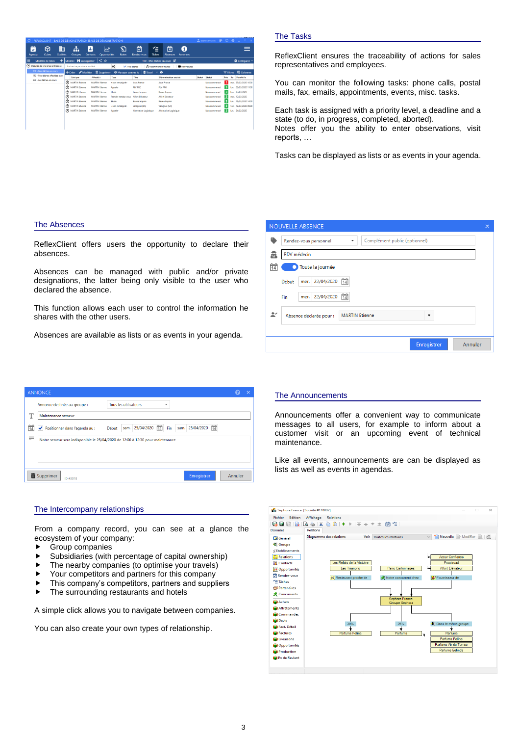|                                                                   | REFLEXCLIENT - BASE DE DÉMONSTRATION IBASE DE DÉMONSTRATIONI |                                                       |                                    |                                       | $2$ Figure MARTIN $\bigotimes$ $\bigcirc$ $\bigcirc$ $\bigcirc$ | $\Box$ $\times$                        |
|-------------------------------------------------------------------|--------------------------------------------------------------|-------------------------------------------------------|------------------------------------|---------------------------------------|-----------------------------------------------------------------|----------------------------------------|
| ِ⊗<br>▦<br>$\overline{\mathbf{v}}$<br>Sociétés<br>Cubes<br>Agenda | Ψ.<br>Δ<br><b>Contacts</b><br><b>Groupes</b>                 | D<br>$\lambda$<br><b>Opportunités</b><br><b>Notes</b> | ≺=<br>☑<br>Rendez-vous<br>Taches   | Я<br>×<br><b>Absences</b><br>Annonces |                                                                 |                                        |
| Modèles de listes                                                 | Modèle : Sauvegarder                                         | ∣く☆                                                   |                                    | 100 - Mes tâches en cours DE          |                                                                 | Configurer %                           |
| (a) Modèles de référence entreprise                               | Recherche par titre et société                               | $\odot$<br>Mes tâches                                 | <sup>(7)</sup> Récemment consultés | * Nouveautés                          |                                                                 |                                        |
| 100 - Mes táches en cours                                         | $+$ Créer $\blacktriangleright$ Modifier                     | Supprimer<br><b>O</b> Marquer comme lu                | <b>Ell</b> Excel<br>$\checkmark$   | o                                     |                                                                 | <b>ED</b> Colonnes<br>$\equiv$ Filtres |
| 110 - Mes tâches affectées à un                                   | Créé par<br>Affecté à                                        | Type                                                  | Titre                              | <b>Dénomination</b> sociale           | Statut<br>Statut                                                | Jo Planifié le<br>Prio                 |
| 200 - Les tâches en cours                                         | Ō<br><b>MARTIN Etienne</b>                                   | <b>MARTIN Etienne</b><br><non renseigné=""></non>     | Asus France                        | <b>Agus France</b>                    | Non commencé                                                    | mar. 25/02/2020 10:00                  |
|                                                                   | Ō<br><b>MARTIN Etienne</b>                                   | <b>MARTIN Etienne</b><br>Appeler                      | PLV PRO                            | PLV PRO                               | Non commencé                                                    | lun. 02/03/2020 11:00                  |
|                                                                   | М<br><b>MARTIN Etienne</b>                                   | <b>MARTIN Etienne</b><br><b>Ftude</b>                 | <b>Baune Imprim</b>                | <b>Baune Imprim</b>                   | Non commencé                                                    | lun. 02/03/2020                        |
|                                                                   | Ō<br><b>MARTIN Etienne</b>                                   | <b>MARTIN Etienne</b><br>Prendre rendez-vous          | <b>Alfort Elévateur</b>            | <b>Alfort Elévateur</b>               | Non commencé                                                    | mar. 10/03/2020                        |
|                                                                   | σ<br><b>MARTIN Etienne</b>                                   | <b>MARTIN Etienne</b><br>Etude                        | <b>Baune Imprim</b>                | <b>Baune Imprim</b>                   | Non commencé                                                    | lun. 16/03/2020 14:00                  |
|                                                                   | $\sigma$<br><b>MARTIN Etienne</b>                            | <b>MARTIN Etienne</b><br><non renseigné=""></non>     | Valognes (SA)                      | Valognes (SA)                         | Non commencé                                                    | ven. 13/03/2020 09:00                  |
|                                                                   | ω<br><b>MARTIN Etienne</b>                                   | <b>MARTIN Etienne</b><br>Appeler                      | Alternative Logistique             | Alternative Logistique                | Non commencé                                                    | 24/02/2020<br>lun.                     |
|                                                                   |                                                              |                                                       |                                    |                                       |                                                                 |                                        |
|                                                                   |                                                              |                                                       |                                    |                                       |                                                                 |                                        |

## The Tasks

NOLIVELLE ARSENCE

ReflexClient ensures the traceability of actions for sales representatives and employees.

You can monitor the following tasks: phone calls, postal mails, fax, emails, appointments, events, misc. tasks.

Each task is assigned with a priority level, a deadline and a state (to do, in progress, completed, aborted). Notes offer you the ability to enter observations, visit reports, …

Tasks can be displayed as lists or as events in your agenda.

#### The Absences

ReflexClient offers users the opportunity to declare their absences.

Absences can be managed with public and/or private designations, the latter being only visible to the user who declared the absence.

This function allows each user to control the information he shares with the other users.

Absences are available as lists or as events in your agenda.

| 壺               | <b>RDV</b> médecin      |                       |  |                        |  |
|-----------------|-------------------------|-----------------------|--|------------------------|--|
| $\overline{14}$ | Toute la journée        |                       |  |                        |  |
| Début           | 22/04/2020<br>mer.      | $\frac{1}{14}$        |  |                        |  |
| Fin             | mer. 22/04/2020         | $\frac{1}{14}$        |  |                        |  |
| $\tilde{=}$     | Absence déclarée pour : | <b>MARTIN Etienne</b> |  | $\overline{\mathbf v}$ |  |
|                 |                         |                       |  |                        |  |

|                 | <b>ANNONCE</b>                   |                                                                                        |         | × |
|-----------------|----------------------------------|----------------------------------------------------------------------------------------|---------|---|
|                 | Annonce destinée au groupe :     | <b>Tous les utilisateurs</b><br>۰                                                      |         |   |
|                 | Maintenance serveur              |                                                                                        |         |   |
| $\overline{14}$ | ✔ Positionner dans l'agenda au : | $\frac{1}{14}$<br>$\frac{1}{14}$<br>sam. 25/04/2020<br>sam. 25/04/2020<br>Fin<br>Début |         |   |
| ≓               |                                  | Notre serveur sera indisponible le 25/04/2020 de 12:00 à 12:30 pour maintenance        |         |   |
|                 |                                  |                                                                                        |         |   |
|                 |                                  |                                                                                        |         |   |
|                 | Supprimer<br>ID #3018            | <b>Enregistrer</b>                                                                     | Annuler |   |

#### The Intercompany relationships

From a company record, you can see at a glance the ecosystem of your company:

- Group companies
- Subsidiaries (with percentage of capital ownership)
- $\blacktriangleright$  The nearby companies (to optimise your travels)
- ▶ Your competitors and partners for this company
- $\blacktriangleright$  This company's competitors, partners and suppliers
- $\blacktriangleright$  The surrounding restaurants and hotels

A simple click allows you to navigate between companies.

You can also create your own types of relationship.

#### The Announcements

Announcements offer a convenient way to communicate messages to all users, for example to inform about a customer visit or an upcoming event of technical maintenance.

Like all events, announcements are can be displayed as lists as well as events in agendas.